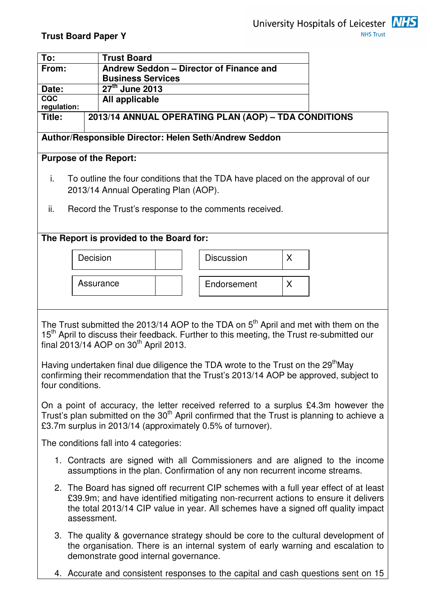

# **Trust Board Paper Y**

|                                          | Trust Doard Paper T                                                                                                                                                                                                                                                             |                                          |                                                                     |                                                                                                                                                                                                           |   |                                                                                                        |  |
|------------------------------------------|---------------------------------------------------------------------------------------------------------------------------------------------------------------------------------------------------------------------------------------------------------------------------------|------------------------------------------|---------------------------------------------------------------------|-----------------------------------------------------------------------------------------------------------------------------------------------------------------------------------------------------------|---|--------------------------------------------------------------------------------------------------------|--|
| To:                                      |                                                                                                                                                                                                                                                                                 | <b>Trust Board</b>                       |                                                                     |                                                                                                                                                                                                           |   |                                                                                                        |  |
| From:                                    |                                                                                                                                                                                                                                                                                 |                                          | Andrew Seddon - Director of Finance and<br><b>Business Services</b> |                                                                                                                                                                                                           |   |                                                                                                        |  |
| Date:                                    |                                                                                                                                                                                                                                                                                 |                                          | 27 <sup>th</sup> June 2013                                          |                                                                                                                                                                                                           |   |                                                                                                        |  |
| $\overline{\mathsf{coc}}$<br>regulation: |                                                                                                                                                                                                                                                                                 | All applicable                           |                                                                     |                                                                                                                                                                                                           |   |                                                                                                        |  |
| Title:                                   |                                                                                                                                                                                                                                                                                 |                                          |                                                                     | 2013/14 ANNUAL OPERATING PLAN (AOP) - TDA CONDITIONS                                                                                                                                                      |   |                                                                                                        |  |
|                                          |                                                                                                                                                                                                                                                                                 |                                          |                                                                     | Author/Responsible Director: Helen Seth/Andrew Seddon                                                                                                                                                     |   |                                                                                                        |  |
|                                          |                                                                                                                                                                                                                                                                                 | <b>Purpose of the Report:</b>            |                                                                     |                                                                                                                                                                                                           |   |                                                                                                        |  |
| i.                                       |                                                                                                                                                                                                                                                                                 |                                          |                                                                     | To outline the four conditions that the TDA have placed on the approval of our                                                                                                                            |   |                                                                                                        |  |
|                                          |                                                                                                                                                                                                                                                                                 | 2013/14 Annual Operating Plan (AOP).     |                                                                     |                                                                                                                                                                                                           |   |                                                                                                        |  |
| ii.                                      |                                                                                                                                                                                                                                                                                 |                                          |                                                                     | Record the Trust's response to the comments received.                                                                                                                                                     |   |                                                                                                        |  |
|                                          |                                                                                                                                                                                                                                                                                 |                                          |                                                                     |                                                                                                                                                                                                           |   |                                                                                                        |  |
|                                          |                                                                                                                                                                                                                                                                                 | The Report is provided to the Board for: |                                                                     |                                                                                                                                                                                                           |   |                                                                                                        |  |
|                                          |                                                                                                                                                                                                                                                                                 |                                          |                                                                     |                                                                                                                                                                                                           |   |                                                                                                        |  |
|                                          | Decision                                                                                                                                                                                                                                                                        |                                          |                                                                     | <b>Discussion</b>                                                                                                                                                                                         | X |                                                                                                        |  |
|                                          |                                                                                                                                                                                                                                                                                 | Assurance                                |                                                                     |                                                                                                                                                                                                           |   |                                                                                                        |  |
|                                          |                                                                                                                                                                                                                                                                                 |                                          |                                                                     | Endorsement                                                                                                                                                                                               | X |                                                                                                        |  |
|                                          |                                                                                                                                                                                                                                                                                 |                                          |                                                                     |                                                                                                                                                                                                           |   |                                                                                                        |  |
|                                          |                                                                                                                                                                                                                                                                                 | final 2013/14 AOP on $30th$ April 2013.  |                                                                     | The Trust submitted the 2013/14 AOP to the TDA on 5 <sup>th</sup> April and met with them on the<br>15 <sup>th</sup> April to discuss their feedback. Further to this meeting, the Trust re-submitted our |   |                                                                                                        |  |
|                                          |                                                                                                                                                                                                                                                                                 |                                          |                                                                     |                                                                                                                                                                                                           |   |                                                                                                        |  |
|                                          |                                                                                                                                                                                                                                                                                 |                                          |                                                                     | Having undertaken final due diligence the TDA wrote to the Trust on the 29 <sup>th</sup> May<br>confirming their recommendation that the Trust's 2013/14 AOP be approved, subject to                      |   |                                                                                                        |  |
|                                          | four conditions.                                                                                                                                                                                                                                                                |                                          |                                                                     |                                                                                                                                                                                                           |   |                                                                                                        |  |
|                                          |                                                                                                                                                                                                                                                                                 |                                          |                                                                     | On a point of accuracy, the letter received referred to a surplus £4.3m however the<br>£3.7m surplus in 2013/14 (approximately 0.5% of turnover).                                                         |   | Trust's plan submitted on the 30 <sup>th</sup> April confirmed that the Trust is planning to achieve a |  |
|                                          |                                                                                                                                                                                                                                                                                 | The conditions fall into 4 categories:   |                                                                     |                                                                                                                                                                                                           |   |                                                                                                        |  |
|                                          | 1. Contracts are signed with all Commissioners and are aligned to the income<br>assumptions in the plan. Confirmation of any non recurrent income streams.                                                                                                                      |                                          |                                                                     |                                                                                                                                                                                                           |   |                                                                                                        |  |
|                                          | 2. The Board has signed off recurrent CIP schemes with a full year effect of at least<br>£39.9m; and have identified mitigating non-recurrent actions to ensure it delivers<br>the total 2013/14 CIP value in year. All schemes have a signed off quality impact<br>assessment. |                                          |                                                                     |                                                                                                                                                                                                           |   |                                                                                                        |  |
|                                          | 3. The quality & governance strategy should be core to the cultural development of<br>the organisation. There is an internal system of early warning and escalation to<br>demonstrate good internal governance.                                                                 |                                          |                                                                     |                                                                                                                                                                                                           |   |                                                                                                        |  |

4. Accurate and consistent responses to the capital and cash questions sent on 15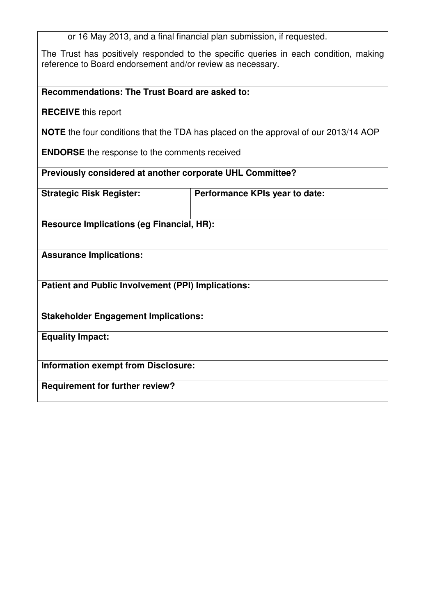or 16 May 2013, and a final financial plan submission, if requested.

The Trust has positively responded to the specific queries in each condition, making reference to Board endorsement and/or review as necessary.

| <b>Recommendations: The Trust Board are asked to:</b> |  |
|-------------------------------------------------------|--|
|-------------------------------------------------------|--|

**RECEIVE** this report

**NOTE** the four conditions that the TDA has placed on the approval of our 2013/14 AOP

**ENDORSE** the response to the comments received

| Previously considered at another corporate UHL Committee? |
|-----------------------------------------------------------|
|-----------------------------------------------------------|

| <b>Strategic Risk Register:</b>                           | Performance KPIs year to date: |  |  |  |  |
|-----------------------------------------------------------|--------------------------------|--|--|--|--|
| <b>Resource Implications (eg Financial, HR):</b>          |                                |  |  |  |  |
| <b>Assurance Implications:</b>                            |                                |  |  |  |  |
| <b>Patient and Public Involvement (PPI) Implications:</b> |                                |  |  |  |  |
| <b>Stakeholder Engagement Implications:</b>               |                                |  |  |  |  |
| <b>Equality Impact:</b>                                   |                                |  |  |  |  |
| <b>Information exempt from Disclosure:</b>                |                                |  |  |  |  |
| <b>Requirement for further review?</b>                    |                                |  |  |  |  |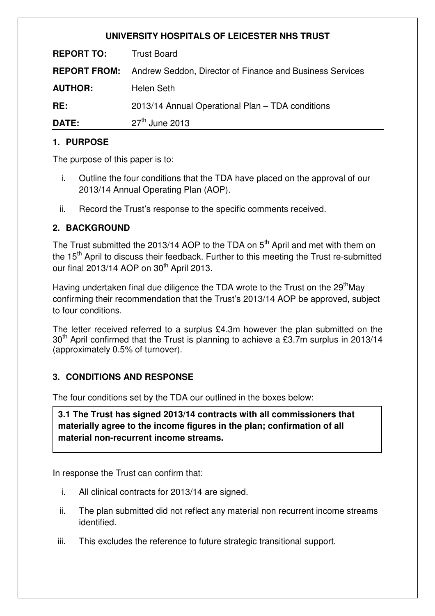# **UNIVERSITY HOSPITALS OF LEICESTER NHS TRUST**

| <b>REPORT TO:</b> | <b>Trust Board</b>                                                           |
|-------------------|------------------------------------------------------------------------------|
|                   | <b>REPORT FROM:</b> Andrew Seddon, Director of Finance and Business Services |
| <b>AUTHOR:</b>    | Helen Seth                                                                   |
| RE:               | 2013/14 Annual Operational Plan - TDA conditions                             |
| DATE:             | $27th$ June 2013                                                             |

## **1. PURPOSE**

The purpose of this paper is to:

- i. Outline the four conditions that the TDA have placed on the approval of our 2013/14 Annual Operating Plan (AOP).
- ii. Record the Trust's response to the specific comments received.

## **2. BACKGROUND**

The Trust submitted the 2013/14 AOP to the TDA on  $5<sup>th</sup>$  April and met with them on the 15<sup>th</sup> April to discuss their feedback. Further to this meeting the Trust re-submitted our final 2013/14 AOP on  $30<sup>th</sup>$  April 2013.

Having undertaken final due diligence the TDA wrote to the Trust on the 29<sup>th</sup>May confirming their recommendation that the Trust's 2013/14 AOP be approved, subject to four conditions.

The letter received referred to a surplus £4.3m however the plan submitted on the  $30<sup>th</sup>$  April confirmed that the Trust is planning to achieve a £3.7m surplus in 2013/14 (approximately 0.5% of turnover).

### **3. CONDITIONS AND RESPONSE**

The four conditions set by the TDA our outlined in the boxes below:

**3.1 The Trust has signed 2013/14 contracts with all commissioners that materially agree to the income figures in the plan; confirmation of all material non-recurrent income streams.** 

In response the Trust can confirm that:

- i. All clinical contracts for 2013/14 are signed.
- ii. The plan submitted did not reflect any material non recurrent income streams identified.
- iii. This excludes the reference to future strategic transitional support.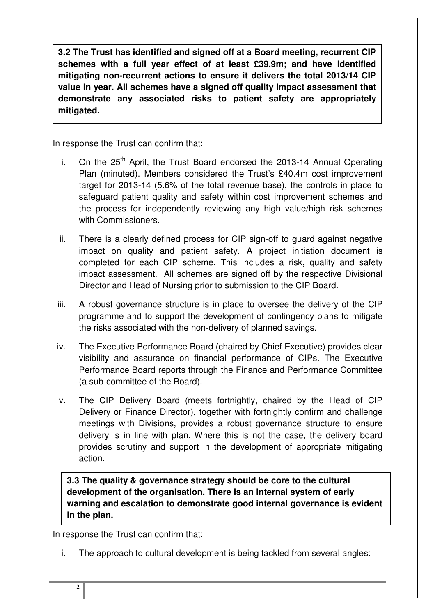**3.2 The Trust has identified and signed off at a Board meeting, recurrent CIP schemes with a full year effect of at least £39.9m; and have identified mitigating non-recurrent actions to ensure it delivers the total 2013/14 CIP value in year. All schemes have a signed off quality impact assessment that demonstrate any associated risks to patient safety are appropriately mitigated.** 

In response the Trust can confirm that:

- i. On the  $25<sup>th</sup>$  April, the Trust Board endorsed the 2013-14 Annual Operating Plan (minuted). Members considered the Trust's £40.4m cost improvement target for 2013-14 (5.6% of the total revenue base), the controls in place to safeguard patient quality and safety within cost improvement schemes and the process for independently reviewing any high value/high risk schemes with Commissioners.
- ii. There is a clearly defined process for CIP sign-off to guard against negative impact on quality and patient safety. A project initiation document is completed for each CIP scheme. This includes a risk, quality and safety impact assessment. All schemes are signed off by the respective Divisional Director and Head of Nursing prior to submission to the CIP Board.
- iii. A robust governance structure is in place to oversee the delivery of the CIP programme and to support the development of contingency plans to mitigate the risks associated with the non-delivery of planned savings.
- iv. The Executive Performance Board (chaired by Chief Executive) provides clear visibility and assurance on financial performance of CIPs. The Executive Performance Board reports through the Finance and Performance Committee (a sub-committee of the Board).
- v. The CIP Delivery Board (meets fortnightly, chaired by the Head of CIP Delivery or Finance Director), together with fortnightly confirm and challenge meetings with Divisions, provides a robust governance structure to ensure delivery is in line with plan. Where this is not the case, the delivery board provides scrutiny and support in the development of appropriate mitigating action.

**3.3 The quality & governance strategy should be core to the cultural development of the organisation. There is an internal system of early warning and escalation to demonstrate good internal governance is evident in the plan.** 

In response the Trust can confirm that:

i. The approach to cultural development is being tackled from several angles: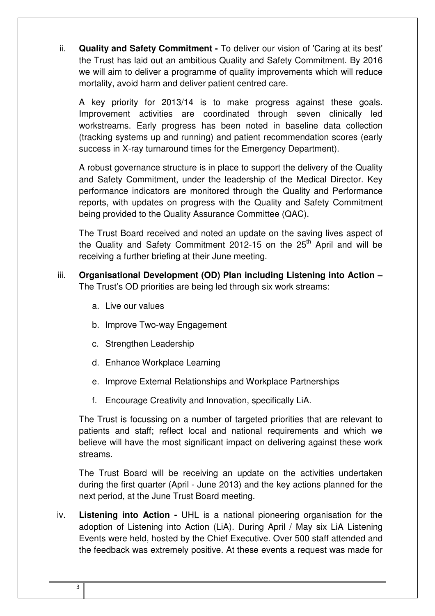ii. **Quality and Safety Commitment -** To deliver our vision of 'Caring at its best' the Trust has laid out an ambitious Quality and Safety Commitment. By 2016 we will aim to deliver a programme of quality improvements which will reduce mortality, avoid harm and deliver patient centred care.

A key priority for 2013/14 is to make progress against these goals. Improvement activities are coordinated through seven clinically led workstreams. Early progress has been noted in baseline data collection (tracking systems up and running) and patient recommendation scores (early success in X-ray turnaround times for the Emergency Department).

A robust governance structure is in place to support the delivery of the Quality and Safety Commitment, under the leadership of the Medical Director. Key performance indicators are monitored through the Quality and Performance reports, with updates on progress with the Quality and Safety Commitment being provided to the Quality Assurance Committee (QAC).

The Trust Board received and noted an update on the saving lives aspect of the Quality and Safety Commitment 2012-15 on the 25<sup>th</sup> April and will be receiving a further briefing at their June meeting.

- iii. **Organisational Development (OD) Plan including Listening into Action –** The Trust's OD priorities are being led through six work streams:
	- a. Live our values
	- b. Improve Two-way Engagement
	- c. Strengthen Leadership
	- d. Enhance Workplace Learning
	- e. Improve External Relationships and Workplace Partnerships
	- f. Encourage Creativity and Innovation, specifically LiA.

The Trust is focussing on a number of targeted priorities that are relevant to patients and staff; reflect local and national requirements and which we believe will have the most significant impact on delivering against these work streams.

The Trust Board will be receiving an update on the activities undertaken during the first quarter (April - June 2013) and the key actions planned for the next period, at the June Trust Board meeting.

iv. **Listening into Action -** UHL is a national pioneering organisation for the adoption of Listening into Action (LiA). During April / May six LiA Listening Events were held, hosted by the Chief Executive. Over 500 staff attended and the feedback was extremely positive. At these events a request was made for